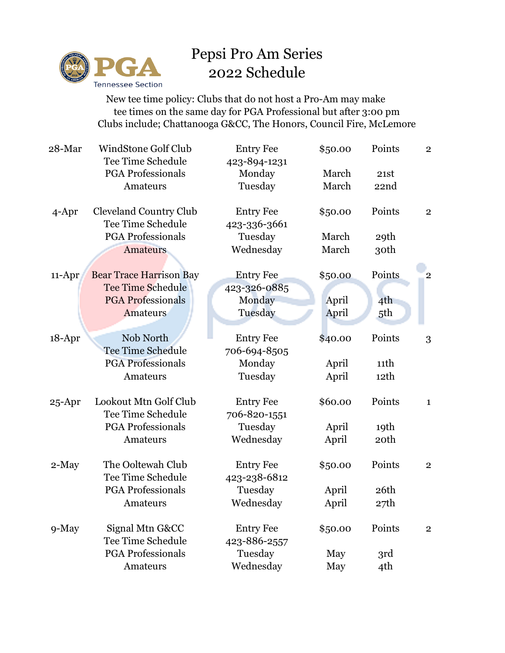

## Pepsi Pro Am Series 2022 Schedule

 New tee time policy: Clubs that do not host a Pro-Am may make tee times on the same day for PGA Professional but after 3:00 pm Clubs include; Chattanooga G&CC, The Honors, Council Fire, McLemore

| 28-Mar     | <b>WindStone Golf Club</b>     | <b>Entry Fee</b> | \$50.00 | Points          | $\mathbf{2}$   |
|------------|--------------------------------|------------------|---------|-----------------|----------------|
|            | Tee Time Schedule              | 423-894-1231     |         |                 |                |
|            | <b>PGA Professionals</b>       | Monday           | March   | 21st            |                |
|            | Amateurs                       | Tuesday          | March   | 22nd            |                |
| $4$ -Apr   | <b>Cleveland Country Club</b>  | <b>Entry Fee</b> | \$50.00 | Points          | $\overline{2}$ |
|            | Tee Time Schedule              | 423-336-3661     |         |                 |                |
|            | <b>PGA Professionals</b>       | Tuesday          | March   | 29th            |                |
|            | <b>Amateurs</b>                | Wednesday        | March   | 30th            |                |
| 11-Apr     | <b>Bear Trace Harrison Bay</b> | <b>Entry Fee</b> | \$50.00 | Points          | $\overline{2}$ |
|            | <b>Tee Time Schedule</b>       | 423-326-0885     |         |                 |                |
|            | <b>PGA Professionals</b>       | Monday           | April   | 4 <sup>th</sup> |                |
|            | Amateurs                       | Tuesday          | April   | 5th             |                |
|            |                                |                  |         |                 |                |
| 18-Apr     | Nob North                      | <b>Entry Fee</b> | \$40.00 | Points          | 3              |
|            | Tee Time Schedule              | 706-694-8505     |         |                 |                |
|            | <b>PGA</b> Professionals       | Monday           | April   | 11th            |                |
|            | Amateurs                       | Tuesday          | April   | 12th            |                |
| $25 - Apr$ | Lookout Mtn Golf Club          | <b>Entry Fee</b> | \$60.00 | Points          | $\mathbf{1}$   |
|            | Tee Time Schedule              | 706-820-1551     |         |                 |                |
|            | <b>PGA Professionals</b>       | Tuesday          | April   | 19th            |                |
|            | Amateurs                       | Wednesday        | April   | 20th            |                |
| 2-May      | The Ooltewah Club              | <b>Entry Fee</b> | \$50.00 | Points          | $\sqrt{2}$     |
|            | Tee Time Schedule              | 423-238-6812     |         |                 |                |
|            | <b>PGA Professionals</b>       | Tuesday          | April   | 26th            |                |
|            | Amateurs                       | Wednesday        | April   | 27th            |                |
|            |                                |                  |         |                 |                |
| 9-May      | Signal Mtn G&CC                | <b>Entry Fee</b> | \$50.00 | Points          | $\overline{2}$ |
|            | Tee Time Schedule              | 423-886-2557     |         |                 |                |
|            | <b>PGA</b> Professionals       | Tuesday          | May     | 3rd             |                |
|            | Amateurs                       | Wednesday        | May     | 4th             |                |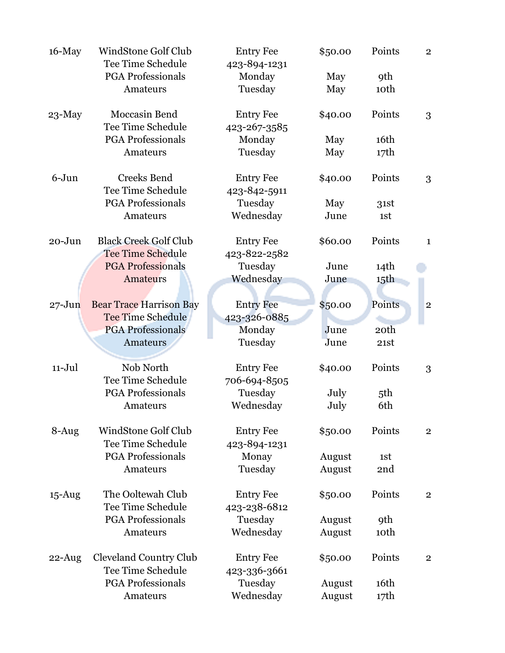| $16$ -May  | WindStone Golf Club            | <b>Entry Fee</b> | \$50.00 | Points           | $\overline{2}$ |
|------------|--------------------------------|------------------|---------|------------------|----------------|
|            | <b>Tee Time Schedule</b>       | 423-894-1231     |         |                  |                |
|            | <b>PGA</b> Professionals       | Monday           | May     | <b>9th</b>       |                |
|            | Amateurs                       | Tuesday          | May     | 10th             |                |
| $23-May$   | Moccasin Bend                  | <b>Entry Fee</b> | \$40.00 | Points           | 3              |
|            | Tee Time Schedule              | 423-267-3585     |         |                  |                |
|            | <b>PGA Professionals</b>       | Monday           | May     | 16th             |                |
|            | Amateurs                       | Tuesday          | May     | 17th             |                |
| $6 - Jun$  | Creeks Bend                    | <b>Entry Fee</b> | \$40.00 | Points           | 3              |
|            | <b>Tee Time Schedule</b>       | 423-842-5911     |         |                  |                |
|            | <b>PGA</b> Professionals       | Tuesday          | May     | 31st             |                |
|            | Amateurs                       | Wednesday        | June    | 1st              |                |
| $20 - Jun$ | <b>Black Creek Golf Club</b>   | <b>Entry Fee</b> | \$60.00 | Points           | $\mathbf{1}$   |
|            | <b>Tee Time Schedule</b>       | 423-822-2582     |         |                  |                |
|            | <b>PGA Professionals</b>       | Tuesday          | June    | 14th             |                |
|            | <b>Amateurs</b>                | Wednesday        | June    | 15th             |                |
|            |                                |                  |         |                  |                |
| $27 - Jun$ | <b>Bear Trace Harrison Bay</b> | <b>Entry Fee</b> | \$50.00 | Points           | $\overline{c}$ |
|            | <b>Tee Time Schedule</b>       | 423-326-0885     |         |                  |                |
|            | <b>PGA Professionals</b>       | Monday           | June    | 20 <sup>th</sup> |                |
|            | Amateurs                       | Tuesday          | June    | 21st             |                |
| $11-Jul$   | Nob North                      | <b>Entry Fee</b> | \$40.00 | Points           | 3              |
|            | Tee Time Schedule              | 706-694-8505     |         |                  |                |
|            | <b>PGA</b> Professionals       | Tuesday          | July    | 5th              |                |
|            | Amateurs                       | Wednesday        | July    | 6th              |                |
| 8-Aug      | WindStone Golf Club            | <b>Entry Fee</b> | \$50.00 | Points           | $\overline{2}$ |
|            | <b>Tee Time Schedule</b>       | 423-894-1231     |         |                  |                |
|            | <b>PGA Professionals</b>       | Monay            | August  | 1st              |                |
|            | Amateurs                       | Tuesday          | August  | 2nd              |                |
| 15-Aug     | The Ooltewah Club              | <b>Entry Fee</b> | \$50.00 | Points           | $\overline{2}$ |
|            | Tee Time Schedule              | 423-238-6812     |         |                  |                |
|            | <b>PGA Professionals</b>       | Tuesday          | August  | <b>9th</b>       |                |
|            | Amateurs                       | Wednesday        | August  | 10th             |                |
| $22$ -Aug  | <b>Cleveland Country Club</b>  | <b>Entry Fee</b> | \$50.00 | Points           | $\overline{2}$ |
|            | Tee Time Schedule              | 423-336-3661     |         |                  |                |
|            | <b>PGA Professionals</b>       | Tuesday          | August  | 16th             |                |
|            | Amateurs                       | Wednesday        | August  | 17th             |                |